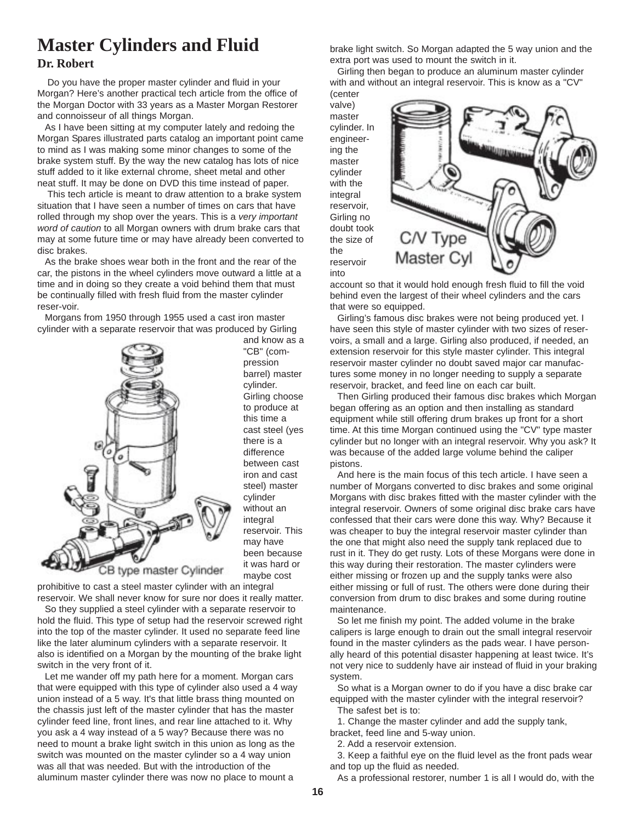## **Master Cylinders and Fluid**

## **Dr. Robert**

 Do you have the proper master cylinder and fluid in your Morgan? Here's another practical tech article from the office of the Morgan Doctor with 33 years as a Master Morgan Restorer and connoisseur of all things Morgan.

As I have been sitting at my computer lately and redoing the Morgan Spares illustrated parts catalog an important point came to mind as I was making some minor changes to some of the brake system stuff. By the way the new catalog has lots of nice stuff added to it like external chrome, sheet metal and other neat stuff. It may be done on DVD this time instead of paper.

 This tech article is meant to draw attention to a brake system situation that I have seen a number of times on cars that have rolled through my shop over the years. This is a *very important word of caution* to all Morgan owners with drum brake cars that may at some future time or may have already been converted to disc brakes.

As the brake shoes wear both in the front and the rear of the car, the pistons in the wheel cylinders move outward a little at a time and in doing so they create a void behind them that must be continually filled with fresh fluid from the master cylinder reser-voir.

Morgans from 1950 through 1955 used a cast iron master cylinder with a separate reservoir that was produced by Girling



and know as a "CB" (compression barrel) master cylinder. Girling choose to produce at this time a cast steel (yes there is a difference between cast iron and cast steel) master cylinder without an integral reservoir. This may have been because it was hard or maybe cost

prohibitive to cast a steel master cylinder with an integral reservoir. We shall never know for sure nor does it really matter.

So they supplied a steel cylinder with a separate reservoir to hold the fluid. This type of setup had the reservoir screwed right into the top of the master cylinder. It used no separate feed line like the later aluminum cylinders with a separate reservoir. It also is identified on a Morgan by the mounting of the brake light switch in the very front of it.

Let me wander off my path here for a moment. Morgan cars that were equipped with this type of cylinder also used a 4 way union instead of a 5 way. It's that little brass thing mounted on the chassis just left of the master cylinder that has the master cylinder feed line, front lines, and rear line attached to it. Why you ask a 4 way instead of a 5 way? Because there was no need to mount a brake light switch in this union as long as the switch was mounted on the master cylinder so a 4 way union was all that was needed. But with the introduction of the aluminum master cylinder there was now no place to mount a

brake light switch. So Morgan adapted the 5 way union and the extra port was used to mount the switch in it.

Girling then began to produce an aluminum master cylinder with and without an integral reservoir. This is know as a "CV" (center



account so that it would hold enough fresh fluid to fill the void behind even the largest of their wheel cylinders and the cars that were so equipped.

Girling's famous disc brakes were not being produced yet. I have seen this style of master cylinder with two sizes of reservoirs, a small and a large. Girling also produced, if needed, an extension reservoir for this style master cylinder. This integral reservoir master cylinder no doubt saved major car manufactures some money in no longer needing to supply a separate reservoir, bracket, and feed line on each car built.

Then Girling produced their famous disc brakes which Morgan began offering as an option and then installing as standard equipment while still offering drum brakes up front for a short time. At this time Morgan continued using the "CV" type master cylinder but no longer with an integral reservoir. Why you ask? It was because of the added large volume behind the caliper pistons.

And here is the main focus of this tech article. I have seen a number of Morgans converted to disc brakes and some original Morgans with disc brakes fitted with the master cylinder with the integral reservoir. Owners of some original disc brake cars have confessed that their cars were done this way. Why? Because it was cheaper to buy the integral reservoir master cylinder than the one that might also need the supply tank replaced due to rust in it. They do get rusty. Lots of these Morgans were done in this way during their restoration. The master cylinders were either missing or frozen up and the supply tanks were also either missing or full of rust. The others were done during their conversion from drum to disc brakes and some during routine maintenance.

So let me finish my point. The added volume in the brake calipers is large enough to drain out the small integral reservoir found in the master cylinders as the pads wear. I have personally heard of this potential disaster happening at least twice. It's not very nice to suddenly have air instead of fluid in your braking system.

So what is a Morgan owner to do if you have a disc brake car equipped with the master cylinder with the integral reservoir? The safest bet is to:

1. Change the master cylinder and add the supply tank, bracket, feed line and 5-way union.

2. Add a reservoir extension.

3. Keep a faithful eye on the fluid level as the front pads wear and top up the fluid as needed.

As a professional restorer, number 1 is all I would do, with the